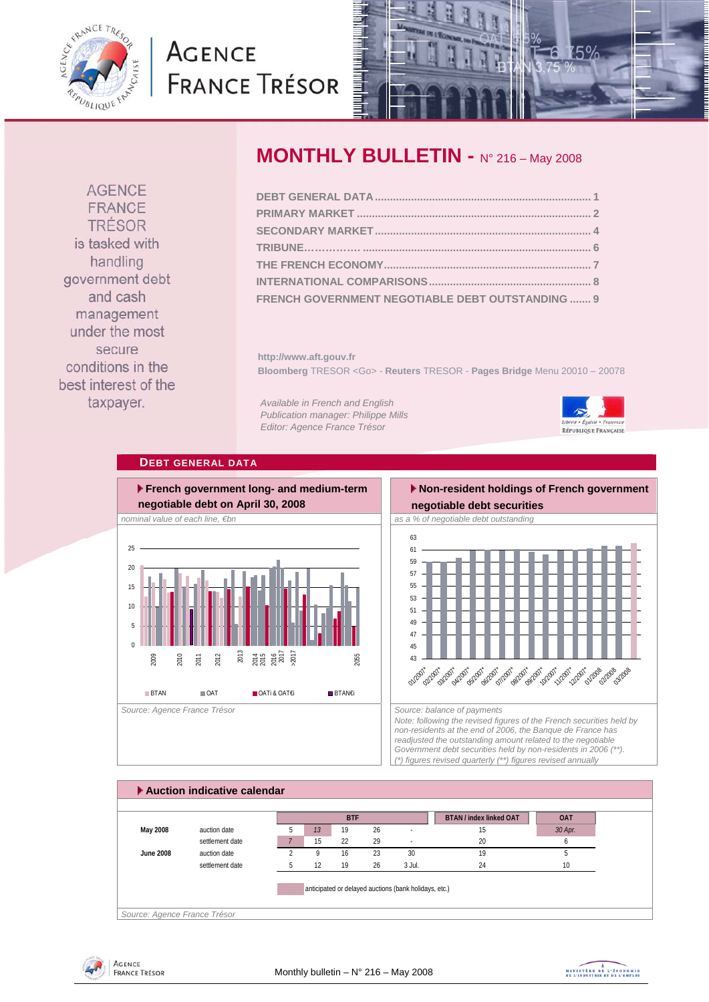<span id="page-0-0"></span>

# **AGENCE FRANCE TRÉSOR**



**AGENCE** FRANCE **TRÉSOR** is tasked with handling government debt and cash management under the most secure conditions in the best interest of the taxpayer.

# **MONTHLY BULLETIN - N° 216 – May 2008**

| FRENCH GOVERNMENT NEGOTIABLE DEBT OUTSTANDING  9 |  |
|--------------------------------------------------|--|

**http://www.aft.gouv.fr Bloomberg** TRESOR <Go> - **Reuters** TRESOR - **Pages Bridge** Menu 20010 – 20078

*Available in French and English Publication manager: Philippe Mills Editor: Agence France Trésor* 



## **DEBT GENERAL DATA**



# **Non-resident holdings of French government**



*Note: following the revised figures of the French securities held by non-residents at the end of 2006, the Banque de France has readjusted the outstanding amount related to the negotiable Government debt securities held by non-residents in 2006 (\*\*). (\*) figures revised quarterly (\*\*) figures revised annually* 





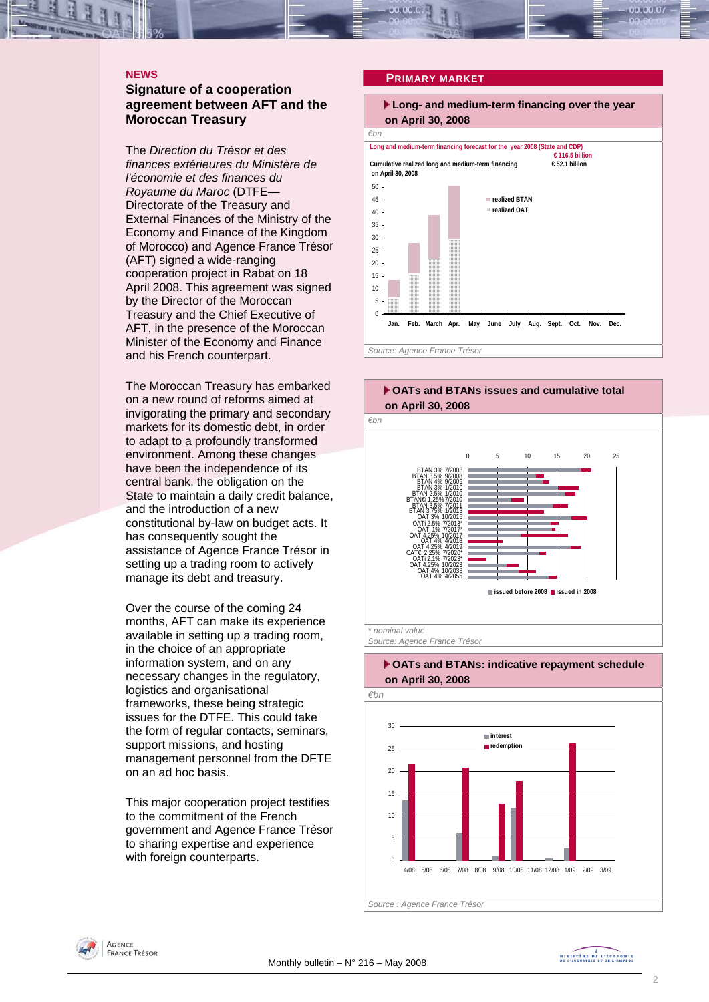#### <span id="page-1-0"></span>**NEWS**

### **Signature of a cooperation agreement between AFT and the Moroccan Treasury**

The *Direction du Trésor et des finances extérieures du Ministère de l'économie et des finances du Royaume du Maroc* (DTFE— Directorate of the Treasury and External Finances of the Ministry of the Economy and Finance of the Kingdom of Morocco) and Agence France Tréso r (AFT) signed a wide-ranging cooperation project in Rabat on 18 April 2008. This agreement was signed by the Director of the Moroccan Treasury and the Chief Executive of AFT, in the presence of the Moroccan Minister of the Economy and Finance and his French counterpart.

The Moroccan Treasury has embarked on a new round of reforms aimed at invigorating the primary and secondary markets for its domestic debt, in order to adapt to a profoundly transformed environment. Among these changes have been the independence of its central bank, the obligation on the State to maintain a daily credit balance, and the introduction of a new constitutional by-law on budget acts. It has consequently sought the assistance of Agence France Trésor in setting up a trading room to actively manage its debt and treasury.

Over the course of the coming 24 months. AFT can make its experience available in setting up a trading room, in the choice of an appropriate information system, and on any necessary changes in the regulatory, logistics and organisational frameworks, these being strategic issues for the DTFE. This could take the form of regular contacts, seminars, support missions, and hosting management personnel from the DFTE on an ad hoc basis.

This major cooperation project testifies to the commitment of the French government and Agence France Trésor to sharing expertise and experience with foreign counterparts.

#### **PRIMARY MARKET**









*Source : Agence France Trésor* 

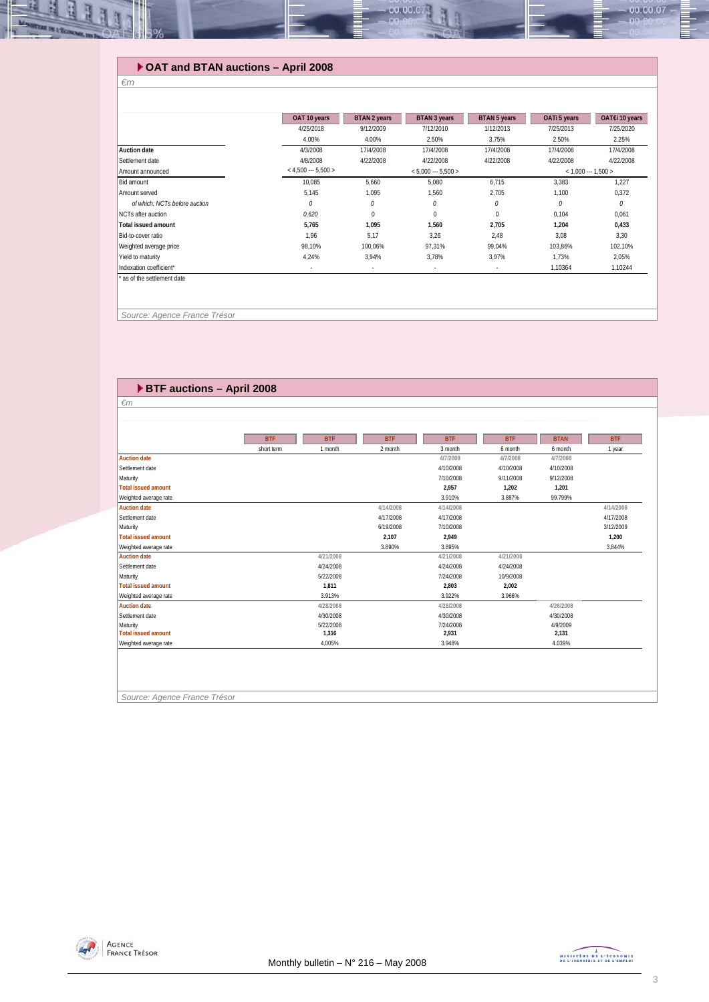### **OAT and BTAN auctions – April 2008**

|                               | OAT 10 years          | <b>BTAN 2 years</b>  | <b>BTAN 3 years</b> | <b>BTAN 5 years</b> | OATi 5 years          | OAT€i 10 years |  |
|-------------------------------|-----------------------|----------------------|---------------------|---------------------|-----------------------|----------------|--|
|                               | 4/25/2018             | 9/12/2009            | 7/12/2010           | 1/12/2013           | 7/25/2013             | 7/25/2020      |  |
|                               | 4.00%                 | 4.00%                | 2.50%               | 3.75%               | 2.50%                 | 2.25%          |  |
| <b>Auction date</b>           | 4/3/2008              | 17/4/2008            | 17/4/2008           | 17/4/2008           | 17/4/2008             | 17/4/2008      |  |
| Settlement date               | 4/8/2008              | 4/22/2008            | 4/22/2008           | 4/22/2008           | 4/22/2008             | 4/22/2008      |  |
| Amount announced              | $<$ 4,500 --- 5,500 > | $< 5,000 -- 5,500 >$ |                     |                     | $<$ 1,000 --- 1,500 > |                |  |
| Bid amount                    | 10,085                | 5,660                | 5,080               | 6,715               | 3,383                 | 1,227          |  |
| Amount served                 | 5,145                 | 1,095                | 1,560               | 2,705               | 1,100                 | 0,372          |  |
| of which: NCTs before auction | 0                     | 0                    | 0                   | 0                   | 0                     | 0              |  |
| NCTs after auction            | 0,620                 | $\Omega$             | 0                   | $\Omega$            | 0,104                 | 0,061          |  |
| <b>Total issued amount</b>    | 5,765                 | 1,095                | 1,560               | 2,705               | 1,204                 | 0,433          |  |
| Bid-to-cover ratio            | 1,96                  | 5,17                 | 3,26                | 2,48                | 3,08                  | 3,30           |  |
| Weighted average price        | 98,10%                | 100,06%              | 97,31%              | 99,04%              | 103,86%               | 102,10%        |  |
| Yield to maturity             | 4,24%                 | 3,94%                | 3,78%               | 3,97%               | 1,73%                 | 2,05%          |  |
| Indexation coefficient*       | ٠                     | ٠                    | ٠                   | ٠                   | 1,10364               | 1,10244        |  |

00.00.0

 *Source: Agence France Trésor* 

*€m* 

녧 E

| BTF auctions - April 2008<br>$\epsilon$ m<br><b>BTF</b><br><b>BTF</b><br><b>BTF</b><br><b>BTF</b><br><b>BTF</b><br><b>BTAN</b><br>short term<br>2 month<br>1 month<br>3 month<br>6 month<br>6 month<br><b>Auction date</b><br>4/7/2008<br>4/7/2008<br>4/7/2008<br>Settlement date<br>4/10/2008<br>4/10/2008<br>4/10/2008<br>Maturity<br>7/10/2008<br>9/11/2008<br>9/12/2008<br><b>Total issued amount</b><br>2,957<br>1,202<br>1,201<br>3.910%<br>3.887%<br>99.799%<br>Weighted average rate<br>4/14/2008<br>4/14/2008<br><b>Auction date</b><br>Settlement date<br>4/17/2008<br>4/17/2008<br>Maturity<br>6/19/2008<br>7/10/2008<br><b>Total issued amount</b><br>2,107<br>2,949<br>3.890%<br>3.895%<br>Weighted average rate<br>4/21/2008<br>4/21/2008<br>4/21/2008<br><b>Auction date</b><br>Settlement date<br>4/24/2008<br>4/24/2008<br>4/24/2008<br>7/24/2008<br>Maturity<br>5/22/2008<br>10/9/2008<br><b>Total issued amount</b><br>1,811<br>2,803<br>2,002<br>3.913%<br>3.922%<br>3.966%<br>Weighted average rate<br><b>Auction date</b><br>4/28/2008<br>4/28/2008<br>4/28/2008<br>Settlement date<br>4/30/2008<br>4/30/2008<br>4/30/2008<br>7/24/2008<br>4/9/2009<br>Maturity<br>5/22/2008 |  |  |  |            |
|----------------------------------------------------------------------------------------------------------------------------------------------------------------------------------------------------------------------------------------------------------------------------------------------------------------------------------------------------------------------------------------------------------------------------------------------------------------------------------------------------------------------------------------------------------------------------------------------------------------------------------------------------------------------------------------------------------------------------------------------------------------------------------------------------------------------------------------------------------------------------------------------------------------------------------------------------------------------------------------------------------------------------------------------------------------------------------------------------------------------------------------------------------------------------------------------------|--|--|--|------------|
|                                                                                                                                                                                                                                                                                                                                                                                                                                                                                                                                                                                                                                                                                                                                                                                                                                                                                                                                                                                                                                                                                                                                                                                                    |  |  |  |            |
|                                                                                                                                                                                                                                                                                                                                                                                                                                                                                                                                                                                                                                                                                                                                                                                                                                                                                                                                                                                                                                                                                                                                                                                                    |  |  |  |            |
|                                                                                                                                                                                                                                                                                                                                                                                                                                                                                                                                                                                                                                                                                                                                                                                                                                                                                                                                                                                                                                                                                                                                                                                                    |  |  |  |            |
|                                                                                                                                                                                                                                                                                                                                                                                                                                                                                                                                                                                                                                                                                                                                                                                                                                                                                                                                                                                                                                                                                                                                                                                                    |  |  |  |            |
|                                                                                                                                                                                                                                                                                                                                                                                                                                                                                                                                                                                                                                                                                                                                                                                                                                                                                                                                                                                                                                                                                                                                                                                                    |  |  |  |            |
|                                                                                                                                                                                                                                                                                                                                                                                                                                                                                                                                                                                                                                                                                                                                                                                                                                                                                                                                                                                                                                                                                                                                                                                                    |  |  |  | <b>BTF</b> |
|                                                                                                                                                                                                                                                                                                                                                                                                                                                                                                                                                                                                                                                                                                                                                                                                                                                                                                                                                                                                                                                                                                                                                                                                    |  |  |  | 1 year     |
|                                                                                                                                                                                                                                                                                                                                                                                                                                                                                                                                                                                                                                                                                                                                                                                                                                                                                                                                                                                                                                                                                                                                                                                                    |  |  |  |            |
|                                                                                                                                                                                                                                                                                                                                                                                                                                                                                                                                                                                                                                                                                                                                                                                                                                                                                                                                                                                                                                                                                                                                                                                                    |  |  |  |            |
|                                                                                                                                                                                                                                                                                                                                                                                                                                                                                                                                                                                                                                                                                                                                                                                                                                                                                                                                                                                                                                                                                                                                                                                                    |  |  |  |            |
|                                                                                                                                                                                                                                                                                                                                                                                                                                                                                                                                                                                                                                                                                                                                                                                                                                                                                                                                                                                                                                                                                                                                                                                                    |  |  |  |            |
|                                                                                                                                                                                                                                                                                                                                                                                                                                                                                                                                                                                                                                                                                                                                                                                                                                                                                                                                                                                                                                                                                                                                                                                                    |  |  |  |            |
|                                                                                                                                                                                                                                                                                                                                                                                                                                                                                                                                                                                                                                                                                                                                                                                                                                                                                                                                                                                                                                                                                                                                                                                                    |  |  |  | 4/14/2008  |
|                                                                                                                                                                                                                                                                                                                                                                                                                                                                                                                                                                                                                                                                                                                                                                                                                                                                                                                                                                                                                                                                                                                                                                                                    |  |  |  | 4/17/2008  |
|                                                                                                                                                                                                                                                                                                                                                                                                                                                                                                                                                                                                                                                                                                                                                                                                                                                                                                                                                                                                                                                                                                                                                                                                    |  |  |  | 3/12/2009  |
|                                                                                                                                                                                                                                                                                                                                                                                                                                                                                                                                                                                                                                                                                                                                                                                                                                                                                                                                                                                                                                                                                                                                                                                                    |  |  |  | 1,200      |
|                                                                                                                                                                                                                                                                                                                                                                                                                                                                                                                                                                                                                                                                                                                                                                                                                                                                                                                                                                                                                                                                                                                                                                                                    |  |  |  | 3.844%     |
|                                                                                                                                                                                                                                                                                                                                                                                                                                                                                                                                                                                                                                                                                                                                                                                                                                                                                                                                                                                                                                                                                                                                                                                                    |  |  |  |            |
|                                                                                                                                                                                                                                                                                                                                                                                                                                                                                                                                                                                                                                                                                                                                                                                                                                                                                                                                                                                                                                                                                                                                                                                                    |  |  |  |            |
|                                                                                                                                                                                                                                                                                                                                                                                                                                                                                                                                                                                                                                                                                                                                                                                                                                                                                                                                                                                                                                                                                                                                                                                                    |  |  |  |            |
|                                                                                                                                                                                                                                                                                                                                                                                                                                                                                                                                                                                                                                                                                                                                                                                                                                                                                                                                                                                                                                                                                                                                                                                                    |  |  |  |            |
|                                                                                                                                                                                                                                                                                                                                                                                                                                                                                                                                                                                                                                                                                                                                                                                                                                                                                                                                                                                                                                                                                                                                                                                                    |  |  |  |            |
|                                                                                                                                                                                                                                                                                                                                                                                                                                                                                                                                                                                                                                                                                                                                                                                                                                                                                                                                                                                                                                                                                                                                                                                                    |  |  |  |            |
|                                                                                                                                                                                                                                                                                                                                                                                                                                                                                                                                                                                                                                                                                                                                                                                                                                                                                                                                                                                                                                                                                                                                                                                                    |  |  |  |            |
|                                                                                                                                                                                                                                                                                                                                                                                                                                                                                                                                                                                                                                                                                                                                                                                                                                                                                                                                                                                                                                                                                                                                                                                                    |  |  |  |            |
| <b>Total issued amount</b><br>1,316<br>2,931<br>2,131                                                                                                                                                                                                                                                                                                                                                                                                                                                                                                                                                                                                                                                                                                                                                                                                                                                                                                                                                                                                                                                                                                                                              |  |  |  |            |
| 4.005%<br>3.948%<br>4.039%<br>Weighted average rate                                                                                                                                                                                                                                                                                                                                                                                                                                                                                                                                                                                                                                                                                                                                                                                                                                                                                                                                                                                                                                                                                                                                                |  |  |  |            |



 $-00.00.07$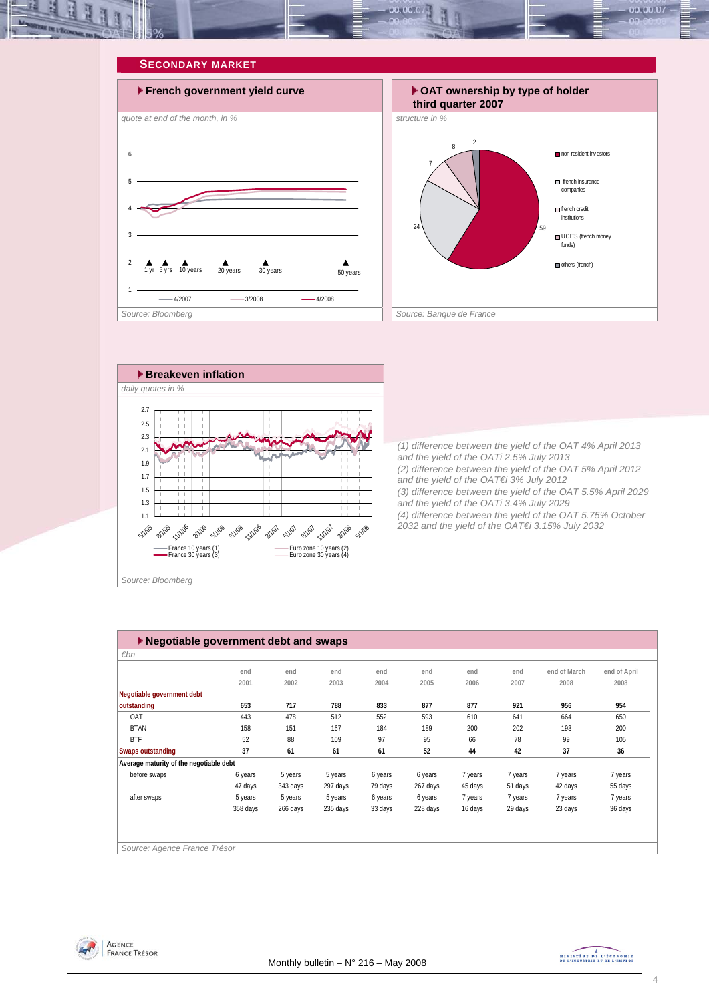<span id="page-3-0"></span>







*(1) difference between the yield of the OAT 4% April 2013 and the yield of the OATi 2.5% July 2013 (2) difference between the yield of the OAT 5% April 2012 and the yield of the OAT€i 3% July 2012 (3) difference between the yield of the OAT 5.5% April 2029 and the yield of the OATi 3.4% July 2029 (4) difference between the yield of the OAT 5.75% October 2032 and the yield of the OAT€i 3.15% July 2032* 

| $\blacktriangleright$ Negotiable government debt and swaps |          |          |          |         |          |         |         |              |              |  |  |
|------------------------------------------------------------|----------|----------|----------|---------|----------|---------|---------|--------------|--------------|--|--|
| $\varepsilon$ bn                                           |          |          |          |         |          |         |         |              |              |  |  |
|                                                            | end      | end      | end      | end     | end      | end     | end     | end of March | end of April |  |  |
|                                                            | 2001     | 2002     | 2003     | 2004    | 2005     | 2006    | 2007    | 2008         | 2008         |  |  |
| Negotiable government debt                                 |          |          |          |         |          |         |         |              |              |  |  |
| outstanding                                                | 653      | 717      | 788      | 833     | 877      | 877     | 921     | 956          | 954          |  |  |
| OAT                                                        | 443      | 478      | 512      | 552     | 593      | 610     | 641     | 664          | 650          |  |  |
| <b>BTAN</b>                                                | 158      | 151      | 167      | 184     | 189      | 200     | 202     | 193          | 200          |  |  |
| <b>BTF</b>                                                 | 52       | 88       | 109      | 97      | 95       | 66      | 78      | 99           | 105          |  |  |
| Swaps outstanding                                          | 37       | 61       | 61       | 61      | 52       | 44      | 42      | 37           | 36           |  |  |
| Average maturity of the negotiable debt                    |          |          |          |         |          |         |         |              |              |  |  |
| before swaps                                               | 6 years  | 5 years  | 5 years  | 6 years | 6 years  | 7 years | 7 years | 7 years      | 7 years      |  |  |
|                                                            | 47 days  | 343 days | 297 days | 79 days | 267 days | 45 days | 51 days | 42 days      | 55 days      |  |  |
| after swaps                                                | 5 years  | 5 years  | 5 years  | 6 years | 6 years  | 7 years | 7 years | 7 years      | 7 years      |  |  |
|                                                            | 358 days | 266 days | 235 days | 33 days | 228 days | 16 days | 29 days | 23 days      | 36 days      |  |  |
|                                                            |          |          |          |         |          |         |         |              |              |  |  |
|                                                            |          |          |          |         |          |         |         |              |              |  |  |
| Source: Agence France Trésor                               |          |          |          |         |          |         |         |              |              |  |  |

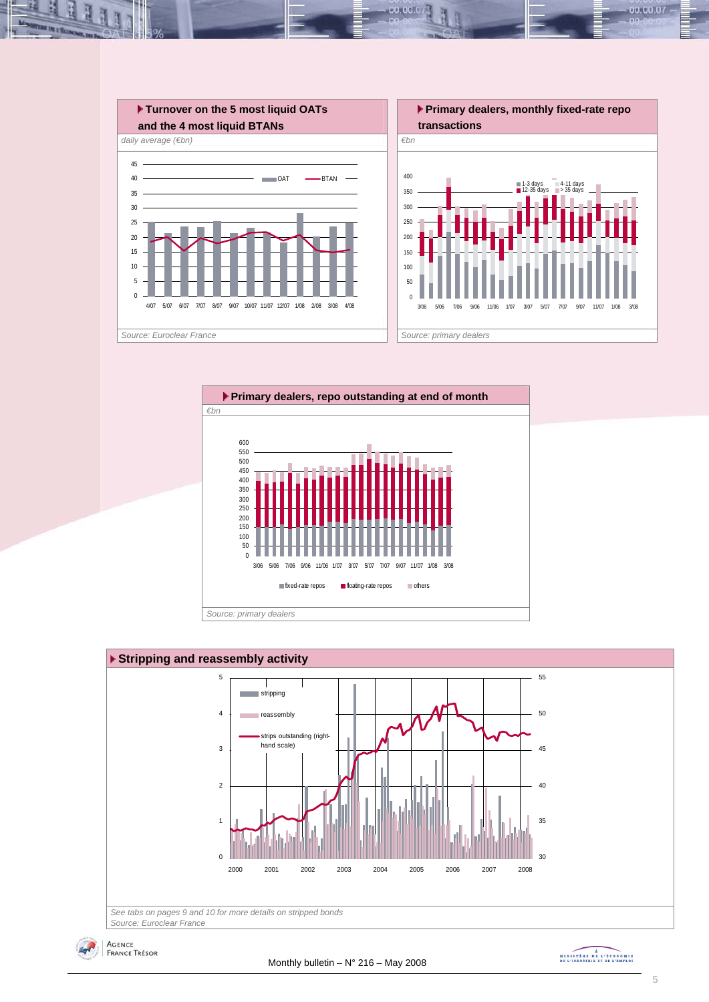

00.001







MINISTRE DE L'ÉCONOMIE

00.00.07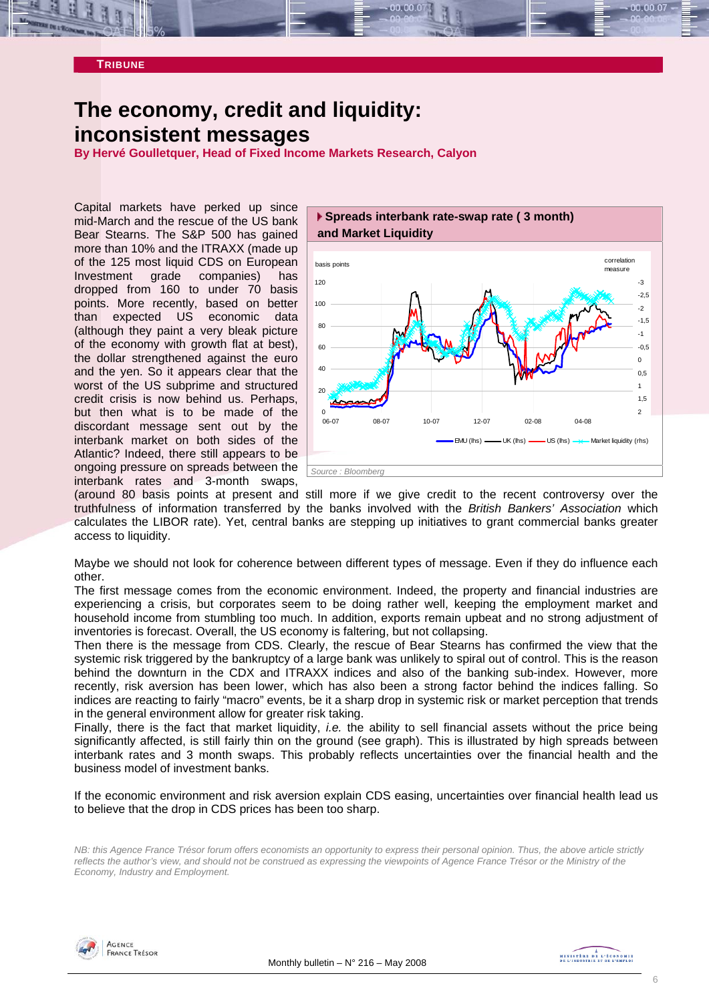<span id="page-5-0"></span>

# **The economy, credit and liquidity: inconsistent messages**

**By Hervé Goulletquer, Head of Fixed Income Markets Research, Calyon** 

Capital markets have perked up since mid-March and the rescue of the US bank Bear Stearns. The S&P 500 has gained more than 10% and the ITRAXX (made up of the 125 most liquid CDS on European Investment grade companies) has dropped from 160 to under 70 basis points. More recently, based on better than expected US economic data (although they paint a very bleak picture of the economy with growth flat at best), the dollar strengthened against the euro and the yen. So it appears clear that the worst of the US subprime and structured credit crisis is now behind us. Perhaps, but then what is to be made of the discordant message sent out by the interbank market on both sides of the Atlantic? Indeed, there still appears to be ongoing pressure on spreads between the interbank rates and 3-month swaps,



(around 80 basis points at present and still more if we give credit to the recent controversy over the truthfulness of information transferred by the banks involved with the *British Bankers' Association* which calculates the LIBOR rate). Yet, central banks are stepping up initiatives to grant commercial banks greater access to liquidity.

Maybe we should not look for coherence between different types of message. Even if they do influence each other.

The first message comes from the economic environment. Indeed, the property and financial industries are experiencing a crisis, but corporates seem to be doing rather well, keeping the employment market and household income from stumbling too much. In addition, exports remain upbeat and no strong adjustment of inventories is forecast. Overall, the US economy is faltering, but not collapsing.

Then there is the message from CDS. Clearly, the rescue of Bear Stearns has confirmed the view that the systemic risk triggered by the bankruptcy of a large bank was unlikely to spiral out of control. This is the reason behind the downturn in the CDX and ITRAXX indices and also of the banking sub-index. However, more recently, risk aversion has been lower, which has also been a strong factor behind the indices falling. So indices are reacting to fairly "macro" events, be it a sharp drop in systemic risk or market perception that trends in the general environment allow for greater risk taking.

Finally, there is the fact that market liquidity, *i.e.* the ability to sell financial assets without the price being significantly affected, is still fairly thin on the ground (see graph). This is illustrated by high spreads between interbank rates and 3 month swaps. This probably reflects uncertainties over the financial health and the business model of investment banks.

If the economic environment and risk aversion explain CDS easing, uncertainties over financial health lead us to believe that the drop in CDS prices has been too sharp.

*NB: this Agence France Trésor forum offers economists an opportunity to express their personal opinion. Thus, the above article strictly reflects the author's view, and should not be construed as expressing the viewpoints of Agence France Trésor or the Ministry of the Economy, Industry and Employment.* 

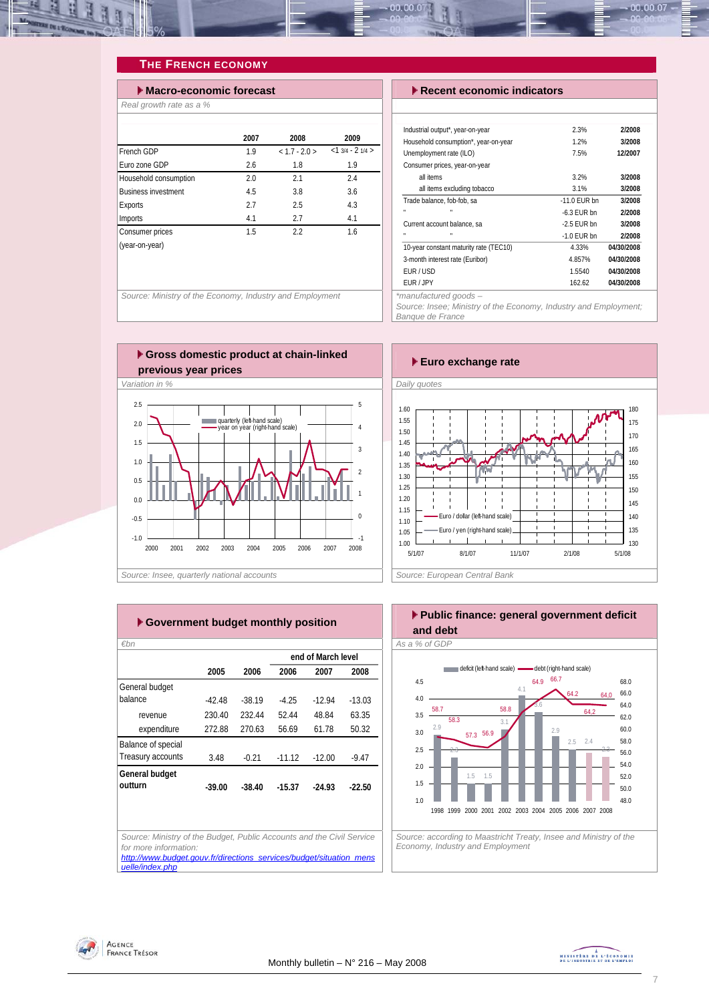<span id="page-6-0"></span>

### **THE FRENCH ECONOMY**

| $\blacktriangleright$ Macro-economic forecast |      |               |                  |  |  |  |  |  |
|-----------------------------------------------|------|---------------|------------------|--|--|--|--|--|
| Real growth rate as a %                       |      |               |                  |  |  |  |  |  |
|                                               |      |               |                  |  |  |  |  |  |
|                                               | 2007 | 2008          | 2009             |  |  |  |  |  |
| French GDP                                    | 1.9  | $< 1.7 - 2.0$ | $<13/4 - 21/4 >$ |  |  |  |  |  |
| Furo zone GDP                                 | 2.6  | 1.8           | 1.9              |  |  |  |  |  |
| Household consumption                         | 2.0  | 2.1           | 2.4              |  |  |  |  |  |
| <b>Business investment</b>                    | 4.5  | 3.8           | 3.6              |  |  |  |  |  |
| <b>Exports</b>                                | 2.7  | 2.5           | 4.3              |  |  |  |  |  |
| Imports                                       | 4.1  | 2.7           | 4.1              |  |  |  |  |  |
| Consumer prices                               | 1.5  | 2.2           | 1.6              |  |  |  |  |  |
| (year-on-year)                                |      |               |                  |  |  |  |  |  |
|                                               |      |               |                  |  |  |  |  |  |
|                                               |      |               |                  |  |  |  |  |  |
|                                               |      |               |                  |  |  |  |  |  |

**Source: Ministry of the Economy, Industry and Employment** 

#### **Execent economic indicators**

| Industrial output*, year-on-year       | 2.3%           | 2/2008     |
|----------------------------------------|----------------|------------|
| Household consumption*, year-on-year   | 1.2%           | 3/2008     |
| Unemployment rate (ILO)                | 7.5%           | 12/2007    |
| Consumer prices, year-on-year          |                |            |
| all items                              | 3.2%           | 3/2008     |
| all items excluding tobacco            | 3.1%           | 3/2008     |
| Trade balance, fob-fob, sa             | $-11.0$ FUR bn | 3/2008     |
| $\mathbf{u}$                           | $-6.3$ FUR bn  | 2/2008     |
| Current account balance, sa            | $-2.5$ FUR bn  | 3/2008     |
| $\blacksquare$<br>$\mathbf{u}$         | $-1.0$ FUR bn  | 2/2008     |
| 10-year constant maturity rate (TEC10) | 4.33%          | 04/30/2008 |
| 3-month interest rate (Euribor)        | 4.857%         | 04/30/2008 |
| FUR/USD                                | 1.5540         | 04/30/2008 |
| FUR / JPY                              | 162.62         | 04/30/2008 |
| *manufactured goods -                  |                |            |

*Source: Insee; Ministry of the Economy, Industry and Employment; Banque de France* 





|                    |        |          |          | end of March level |          |
|--------------------|--------|----------|----------|--------------------|----------|
|                    | 2005   | 2006     | 2006     | 2007               | 2008     |
| General budget     |        |          |          |                    |          |
| balance            | -42.48 | $-38.19$ | $-425$   | $-1294$            | $-13.03$ |
| revenue            | 230.40 | 232.44   | 5244     | 48.84              | 63.35    |
| expenditure        | 272.88 | 270.63   | 56.69    | 61.78              | 50.32    |
| Balance of special |        |          |          |                    |          |
| Treasury accounts  | 348    | $-0.21$  | $-11.12$ | $-1200$            | $-9.47$  |
| General budget     |        |          |          |                    |          |
| outturn            | -39.00 | -38.40   | $-15.37$ | $-2493$            | $-22.50$ |
|                    |        |          |          |                    |          |
|                    |        |          |          |                    |          |

#### **Public finance: general government deficit and debt**  *€bn As a % of GDP*



*Economy, Industry and Employment* 

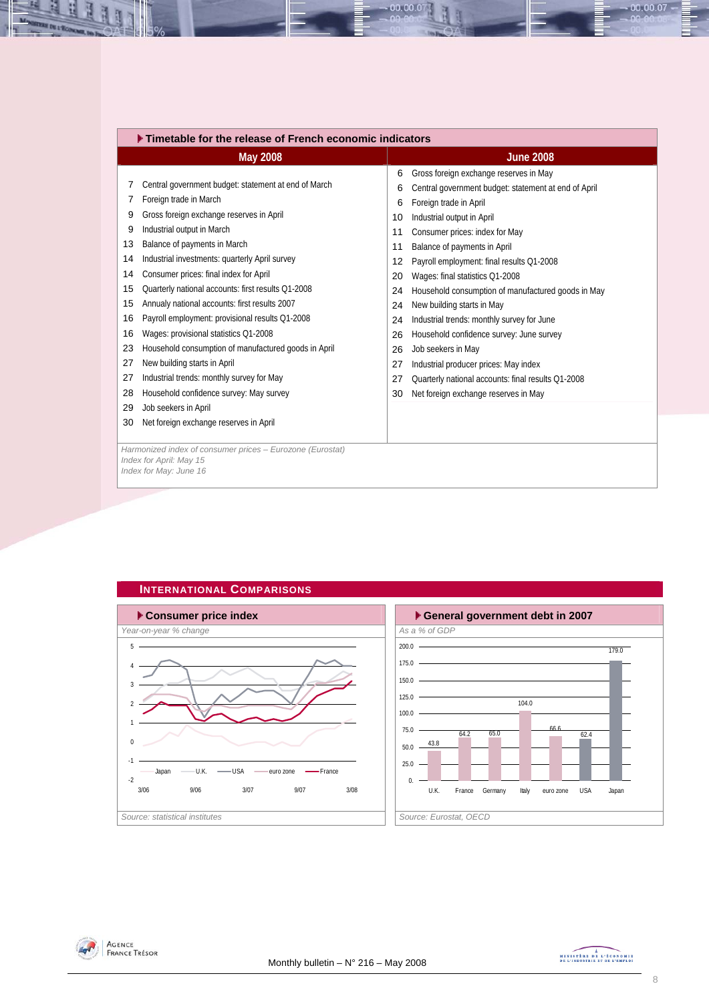<span id="page-7-0"></span>

| Timetable for the release of French economic indicators |                                                           |    |                                                      |  |  |  |  |  |
|---------------------------------------------------------|-----------------------------------------------------------|----|------------------------------------------------------|--|--|--|--|--|
|                                                         | <b>May 2008</b>                                           |    | <b>June 2008</b>                                     |  |  |  |  |  |
|                                                         |                                                           | 6  | Gross foreign exchange reserves in May               |  |  |  |  |  |
| 7                                                       | Central government budget: statement at end of March      | 6  | Central government budget: statement at end of April |  |  |  |  |  |
| 7                                                       | Foreign trade in March                                    | 6  | Foreign trade in April                               |  |  |  |  |  |
| 9                                                       | Gross foreign exchange reserves in April                  | 10 | Industrial output in April                           |  |  |  |  |  |
| 9                                                       | Industrial output in March                                | 11 | Consumer prices: index for May                       |  |  |  |  |  |
| 13                                                      | Balance of payments in March                              | 11 | Balance of payments in April                         |  |  |  |  |  |
| 14                                                      | Industrial investments: quarterly April survey            | 12 | Payroll employment: final results Q1-2008            |  |  |  |  |  |
| 14                                                      | Consumer prices: final index for April                    | 20 | Wages: final statistics Q1-2008                      |  |  |  |  |  |
| 15                                                      | Quarterly national accounts: first results Q1-2008        | 24 | Household consumption of manufactured goods in May   |  |  |  |  |  |
| 15                                                      | Annualy national accounts: first results 2007             | 24 | New building starts in May                           |  |  |  |  |  |
| 16                                                      | Payroll employment: provisional results Q1-2008           | 24 | Industrial trends: monthly survey for June           |  |  |  |  |  |
| 16                                                      | Wages: provisional statistics Q1-2008                     | 26 | Household confidence survey: June survey             |  |  |  |  |  |
| 23                                                      | Household consumption of manufactured goods in April      | 26 | Job seekers in May                                   |  |  |  |  |  |
| 27                                                      | New building starts in April                              | 27 | Industrial producer prices: May index                |  |  |  |  |  |
| 27                                                      | Industrial trends: monthly survey for May                 | 27 | Quarterly national accounts: final results Q1-2008   |  |  |  |  |  |
| 28                                                      | Household confidence survey: May survey                   | 30 | Net foreign exchange reserves in May                 |  |  |  |  |  |
| 29                                                      | Job seekers in April                                      |    |                                                      |  |  |  |  |  |
| 30                                                      | Net foreign exchange reserves in April                    |    |                                                      |  |  |  |  |  |
|                                                         |                                                           |    |                                                      |  |  |  |  |  |
|                                                         | Harmonized index of consumer prices - Eurozone (Eurostat) |    |                                                      |  |  |  |  |  |
|                                                         | Index for April: May 15<br>Index for May: June 16         |    |                                                      |  |  |  |  |  |
|                                                         |                                                           |    |                                                      |  |  |  |  |  |

00.00.07









 $-00.00.07 -$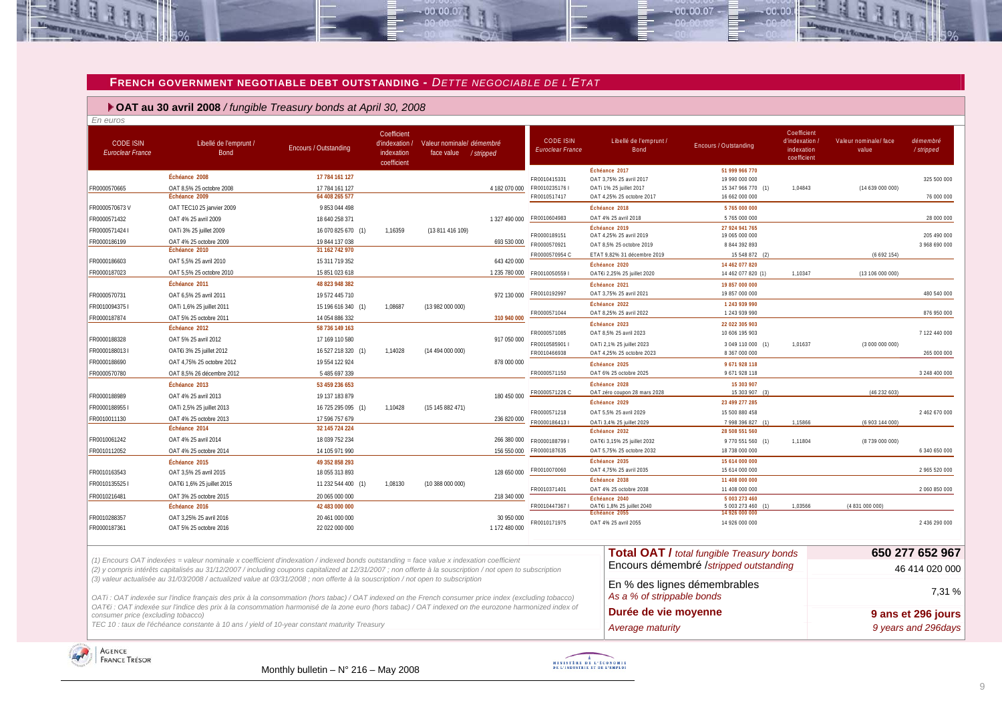#### **FRENCH GOVERNMENT NEGOTIABLE DEBT OUTSTANDING -** *DETTE NEGOCIABLE DE L'ETAT*

 $-00.00.07$ 

#### **OAT au 30 avril 2008** */ fungible Treasury bonds at April 30, 2008*

| <b>CODE ISIN</b><br><b>Euroclear France</b> | Libellé de l'emprunt /<br><b>Bond</b>                                                                                                                                                                                                                                                                | <b>Encours / Outstanding</b> | Coefficient<br>d'indexation /<br>indexation<br>coefficient | Valeur nominale/ démembré<br>face value / stripped |               | <b>CODE ISIN</b><br>Euroclear France | Libellé de l'emprunt /<br><b>Bond</b>    | <b>Encours / Outstanding</b>                     | Coefficient<br>d'indexation<br>indexation<br>coefficient | Valeur nominale/face<br>value | démembré<br>/stripped |
|---------------------------------------------|------------------------------------------------------------------------------------------------------------------------------------------------------------------------------------------------------------------------------------------------------------------------------------------------------|------------------------------|------------------------------------------------------------|----------------------------------------------------|---------------|--------------------------------------|------------------------------------------|--------------------------------------------------|----------------------------------------------------------|-------------------------------|-----------------------|
|                                             | Échéance 2008                                                                                                                                                                                                                                                                                        | 17 784 161 127               |                                                            |                                                    |               | FR0010415331                         | Échéance 2017<br>OAT 3,75% 25 avril 2017 | 51 999 966 770<br>19 990 000 000                 |                                                          |                               | 325 500 000           |
| FR0000570665                                | OAT 8,5% 25 octobre 2008                                                                                                                                                                                                                                                                             | 17 784 161 127               |                                                            |                                                    | 4 182 070 000 | FR00102351761                        | OATi 1% 25 juillet 2017                  | 15 347 966 770 (1)                               | 1,04843                                                  | (14639000000)                 |                       |
|                                             | Échéance 2009                                                                                                                                                                                                                                                                                        | 64 408 265 577               |                                                            |                                                    |               | FR0010517417                         | OAT 4,25% 25 octobre 2017                | 16 662 000 000                                   |                                                          |                               | 76 000 000            |
| FR0000570673V                               | OAT TEC10 25 janvier 2009                                                                                                                                                                                                                                                                            | 9853044498                   |                                                            |                                                    |               |                                      | Échéance 2018                            | 5 765 000 000                                    |                                                          |                               |                       |
| FR0000571432                                | OAT 4% 25 avril 2009                                                                                                                                                                                                                                                                                 | 18 640 258 371               |                                                            |                                                    | 1 327 490 000 | FR0010604983                         | OAT 4% 25 avril 2018                     | 5 765 000 000                                    |                                                          |                               | 28 000 000            |
| FR0000571424 I                              | OATi 3% 25 juillet 2009                                                                                                                                                                                                                                                                              | 16 070 825 670 (1)           | 1,16359                                                    | (13 811 416 109)                                   |               | FR0000189151                         | Échéance 2019<br>OAT 4,25% 25 avril 2019 | 27 924 941 765<br>19 065 000 000                 |                                                          |                               | 205 490 000           |
| FR0000186199                                | OAT 4% 25 octobre 2009                                                                                                                                                                                                                                                                               | 19 844 137 038               |                                                            |                                                    | 693 530 000   | FR0000570921                         | OAT 8.5% 25 octobre 2019                 | 8 844 392 893                                    |                                                          |                               | 3 968 690 000         |
|                                             | Échéance 2010                                                                                                                                                                                                                                                                                        | 31 162 742 970               |                                                            |                                                    |               | FR0000570954 C                       | ETAT 9,82% 31 décembre 2019              | 15 548 872 (2)                                   |                                                          | (6692154)                     |                       |
| FR0000186603                                | OAT 5,5% 25 avril 2010                                                                                                                                                                                                                                                                               | 15 311 719 352               |                                                            |                                                    | 643 420 000   |                                      | Échéance 2020                            | 14 462 077 820                                   |                                                          |                               |                       |
| FR0000187023                                | OAT 5,5% 25 octobre 2010                                                                                                                                                                                                                                                                             | 15 851 023 618               |                                                            |                                                    | 1 235 780 000 | FR0010050559                         | OAT€i 2,25% 25 juillet 2020              | 14 462 077 820 (1)                               | 1,10347                                                  | (13 106 000 000)              |                       |
|                                             | Échéance 2011                                                                                                                                                                                                                                                                                        | 48 823 948 382               |                                                            |                                                    |               |                                      | Échéance 2021                            | 19 857 000 000                                   |                                                          |                               |                       |
| FR0000570731                                | OAT 6.5% 25 avril 2011                                                                                                                                                                                                                                                                               | 19 572 445 710               |                                                            |                                                    | 972 130 000   | FR0010192997                         | OAT 3,75% 25 avril 2021                  | 19 857 000 000                                   |                                                          |                               | 480 540 000           |
| FR00100943751                               | OATi 1,6% 25 juillet 2011                                                                                                                                                                                                                                                                            | 15 196 616 340 (1)           | 1.08687                                                    | (13 982 000 000)                                   |               | FR0000571044                         | Échéance 2022<br>OAT 8,25% 25 avril 2022 | 1 243 939 990<br>1 243 939 990                   |                                                          |                               | 876 950 000           |
| FR0000187874                                | OAT 5% 25 octobre 2011                                                                                                                                                                                                                                                                               | 14 054 886 332               |                                                            |                                                    | 310 940 000   |                                      | Échéance 2023                            | 22 022 305 903                                   |                                                          |                               |                       |
|                                             | Échéance 2012                                                                                                                                                                                                                                                                                        | 58 736 149 163               |                                                            |                                                    |               | FR0000571085                         | OAT 8,5% 25 avril 2023                   | 10 606 195 903                                   |                                                          |                               | 7122440000            |
| FR0000188328                                | OAT 5% 25 avril 2012                                                                                                                                                                                                                                                                                 | 17 169 110 580               |                                                            |                                                    | 917 050 000   | FR0010585901 I                       | OATi 2,1% 25 juillet 2023                | 3 049 110 000 (1)                                | 1,01637                                                  | (3000000000)                  |                       |
| FR0000188013 I                              | OAT€i 3% 25 juillet 2012                                                                                                                                                                                                                                                                             | 16 527 218 320 (1)           | 1,14028                                                    | (14494000000)                                      |               | FR0010466938                         | OAT 4,25% 25 octobre 2023                | 8 367 000 000                                    |                                                          |                               | 265 000 000           |
| FR0000188690                                | OAT 4.75% 25 octobre 2012                                                                                                                                                                                                                                                                            | 19 554 122 924               |                                                            |                                                    | 878 000 000   |                                      | Échéance 2025                            | 9 671 928 118                                    |                                                          |                               |                       |
| FR0000570780                                | OAT 8,5% 26 décembre 2012                                                                                                                                                                                                                                                                            | 5 485 697 339                |                                                            |                                                    |               | FR0000571150                         | OAT 6% 25 octobre 2025                   | 9 671 928 118                                    |                                                          |                               | 3 248 400 000         |
|                                             | Échéance 2013                                                                                                                                                                                                                                                                                        | 53 459 236 653               |                                                            |                                                    |               |                                      | Échéance 2028                            | 15 303 907                                       |                                                          |                               |                       |
| FR0000188989                                | OAT 4% 25 avril 2013                                                                                                                                                                                                                                                                                 | 19 137 183 879               |                                                            |                                                    | 180 450 000   | FR0000571226 C                       | OAT zéro coupon 28 mars 2028             | 15 303 907 (3)                                   |                                                          | (46232603)                    |                       |
| FR00001889551                               | OATi 2,5% 25 juillet 2013                                                                                                                                                                                                                                                                            | 16 725 295 095 (1)           | 1,10428                                                    | (15145882471)                                      |               | FR0000571218                         | Échéance 2029<br>OAT 5,5% 25 avril 2029  | 23 499 277 285<br>15 500 880 458                 |                                                          |                               | 2 462 670 000         |
| FR0010011130                                | OAT 4% 25 octobre 2013                                                                                                                                                                                                                                                                               | 17 596 757 679               |                                                            |                                                    | 236 820 000   | FR00001864131                        | OATi 3,4% 25 juillet 2029                | 7 998 396 827 (1)                                | 1,15866                                                  | (6 903 144 000)               |                       |
|                                             | Échéance 2014                                                                                                                                                                                                                                                                                        | 32 145 724 224               |                                                            |                                                    |               |                                      | Échéance 2032                            | 28 508 551 560                                   |                                                          |                               |                       |
| FR0010061242                                | OAT 4% 25 avril 2014                                                                                                                                                                                                                                                                                 | 18 039 752 234               |                                                            |                                                    | 266 380 000   | FR0000188799                         | OAT€i 3,15% 25 juillet 2032              | 9 770 551 560 (1)                                | 1,11804                                                  | (8739 000 000)                |                       |
| FR0010112052                                | OAT 4% 25 octobre 2014                                                                                                                                                                                                                                                                               | 14 105 971 990               |                                                            |                                                    | 156 550 000   | FR0000187635                         | OAT 5,75% 25 octobre 2032                | 18 738 000 000                                   |                                                          |                               | 6 340 650 000         |
|                                             | Échéance 2015                                                                                                                                                                                                                                                                                        | 49 352 858 293               |                                                            |                                                    |               |                                      | Échéance 2035                            | 15 614 000 000                                   |                                                          |                               |                       |
| FR0010163543                                | OAT 3,5% 25 avril 2015                                                                                                                                                                                                                                                                               | 18 055 313 893               |                                                            |                                                    | 128 650 000   | FR0010070060                         | OAT 4,75% 25 avril 2035                  | 15 614 000 000                                   |                                                          |                               | 2 965 520 000         |
| FR00101355251                               | OATEI 1,6% 25 juillet 2015                                                                                                                                                                                                                                                                           | 11 232 544 400 (1)           | 1,08130                                                    | (10 388 000 000)                                   |               | FR0010371401                         | Échéance 2038<br>OAT 4% 25 octobre 2038  | 11 408 000 000<br>11 408 000 000                 |                                                          |                               | 2060 850 000          |
| FR0010216481                                | OAT 3% 25 octobre 2015                                                                                                                                                                                                                                                                               | 20 065 000 000               |                                                            |                                                    | 218 340 000   |                                      | Échéance 2040                            | 5 003 273 460                                    |                                                          |                               |                       |
|                                             | Échéance 2016                                                                                                                                                                                                                                                                                        | 42 483 000 000               |                                                            |                                                    |               | FR00104473671                        | OAT€i 1,8% 25 juillet 2040               | 5 003 273 460                                    | 1,03566                                                  | (4 831 000 000)               |                       |
| FR0010288357                                | OAT 3,25% 25 avril 2016                                                                                                                                                                                                                                                                              | 20 461 000 000               |                                                            |                                                    | 30 950 000    | FR0010171975                         | Echéance 2055<br>OAT 4% 25 avril 2055    | 14 926 000 000<br>14 926 000 000                 |                                                          |                               | 2 436 290 000         |
| FR0000187361                                | OAT 5% 25 octobre 2016                                                                                                                                                                                                                                                                               | 22 022 000 000               |                                                            |                                                    | 1 172 480 000 |                                      |                                          |                                                  |                                                          |                               |                       |
|                                             |                                                                                                                                                                                                                                                                                                      |                              |                                                            |                                                    |               |                                      |                                          | <b>Total OAT / total fungible Treasury bonds</b> |                                                          |                               | 650 277 652 967       |
|                                             | (1) Encours OAT indexées = valeur nominale x coefficient d'indexation / indexed bonds outstanding = face value x indexation coefficient<br>(2) y compris intérêts capitalisés au 31/12/2007 / including coupons capitalized at 12/31/2007 ; non offerte à la souscription / not open to subscription |                              |                                                            |                                                    |               |                                      |                                          | Encours démembré /stripped outstanding           |                                                          |                               | 46 414 020 000        |
|                                             | (3) valeur actualisée au 31/03/2008 / actualized value at 03/31/2008 ; non offerte à la souscription / not open to subscription                                                                                                                                                                      |                              |                                                            |                                                    |               |                                      |                                          | En % des lignes démembrables                     |                                                          |                               |                       |
|                                             | OATi : OAT indexée sur l'indice français des prix à la consommation (hors tabac) / OAT indexed on the French consumer price index (excluding tobacco)                                                                                                                                                |                              |                                                            |                                                    |               |                                      | As a % of strippable bonds               |                                                  |                                                          |                               | 7.31 %                |
| consumer price (excluding tobacco)          | OAT€i : OAT indexée sur l'indice des prix à la consommation harmonisé de la zone euro (hors tabac) / OAT indexed on the eurozone harmonized index of                                                                                                                                                 |                              |                                                            |                                                    |               |                                      | Durée de vie moyenne                     |                                                  |                                                          |                               | 9 ans et 296 jours    |

TEC 10 : taux de l'échéance constante à 10 ans / yield of 10-year constant maturity Treasury **Average maturity Average maturity 9 years and 296days** 

<span id="page-8-0"></span>



 $00007$ 

 $00.00$